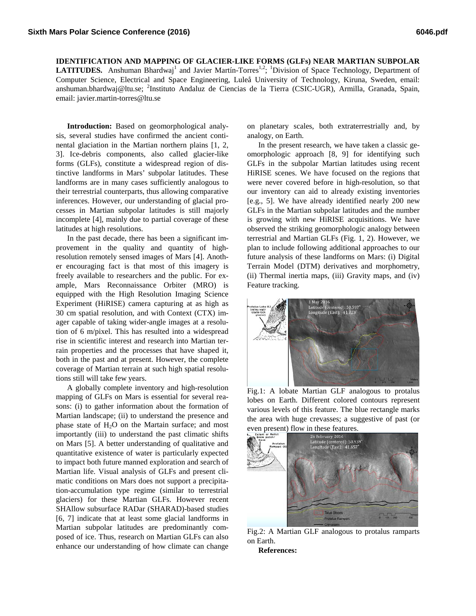**IDENTIFICATION AND MAPPING OF GLACIER-LIKE FORMS (GLFs) NEAR MARTIAN SUBPOLAR**  LATITUDES. Anshuman Bhardwaj<sup>1</sup> and Javier Martín-Torres<sup>1,2</sup>; <sup>1</sup>Division of Space Technology, Department of Computer Science, Electrical and Space Engineering, Luleå University of Technology, Kiruna, Sweden, email: anshuman.bhardwaj@ltu.se; <sup>2</sup>Instituto Andaluz de Ciencias de la Tierra (CSIC-UGR), Armilla, Granada, Spain, email: javier.martin-torres@ltu.se

**Introduction:** Based on geomorphological analysis, several studies have confirmed the ancient continental glaciation in the Martian northern plains [1, 2, 3]. Ice-debris components, also called glacier-like forms (GLFs), constitute a widespread region of distinctive landforms in Mars' subpolar latitudes. These landforms are in many cases sufficiently analogous to their terrestrial counterparts, thus allowing comparative inferences. However, our understanding of glacial processes in Martian subpolar latitudes is still majorly incomplete [4], mainly due to partial coverage of these latitudes at high resolutions.

In the past decade, there has been a significant improvement in the quality and quantity of highresolution remotely sensed images of Mars [4]. Another encouraging fact is that most of this imagery is freely available to researchers and the public. For example, Mars Reconnaissance Orbiter (MRO) is equipped with the High Resolution Imaging Science Experiment (HiRISE) camera capturing at as high as 30 cm spatial resolution, and with Context (CTX) imager capable of taking wider-angle images at a resolution of 6 m/pixel. This has resulted into a widespread rise in scientific interest and research into Martian terrain properties and the processes that have shaped it, both in the past and at present. However, the complete coverage of Martian terrain at such high spatial resolutions still will take few years.

A globally complete inventory and high-resolution mapping of GLFs on Mars is essential for several reasons: (i) to gather information about the formation of Martian landscape; (ii) to understand the presence and phase state of  $H_2O$  on the Martain surface; and most importantly (iii) to understand the past climatic shifts on Mars [5]. A better understanding of qualitative and quantitative existence of water is particularly expected to impact both future manned exploration and search of Martian life. Visual analysis of GLFs and present climatic conditions on Mars does not support a precipitation-accumulation type regime (similar to terrestrial glaciers) for these Martian GLFs. However recent SHAllow subsurface RADar (SHARAD)-based studies [6, 7] indicate that at least some glacial landforms in Martian subpolar latitudes are predominantly composed of ice. Thus, research on Martian GLFs can also enhance our understanding of how climate can change

on planetary scales, both extraterrestrially and, by analogy, on Earth.

In the present research, we have taken a classic geomorphologic approach [8, 9] for identifying such GLFs in the subpolar Martian latitudes using recent HiRISE scenes. We have focused on the regions that were never covered before in high-resolution, so that our inventory can aid to already existing inventories [e.g., 5]. We have already identified nearly 200 new GLFs in the Martian subpolar latitudes and the number is growing with new HiRISE acquisitions. We have observed the striking geomorphologic analogy between terrestrial and Martian GLFs (Fig. 1, 2). However, we plan to include following additional approaches to our future analysis of these landforms on Mars: (i) Digital Terrain Model (DTM) derivatives and morphometry, (ii) Thermal inertia maps, (iii) Gravity maps, and (iv) Feature tracking.



Fig.1: A lobate Martian GLF analogous to protalus lobes on Earth. Different colored contours represent various levels of this feature. The blue rectangle marks the area with huge crevasses; a suggestive of past (or



Fig.2: A Martian GLF analogous to protalus ramparts on Earth.

**References:**